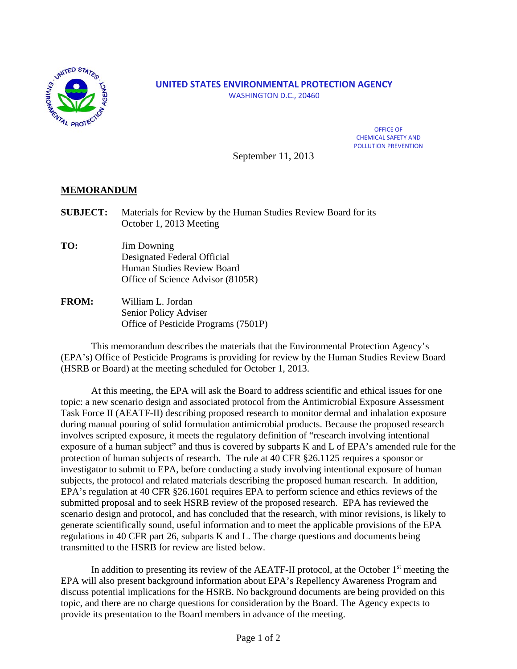

# **UNITED STATES ENVIRONMENTAL PROTECTION AGENCY**

WASHINGTON D.C., 20460

OFFICE OF CHEMICAL SAFETY AND POLLUTION PREVENTION

September 11, 2013

## **MEMORANDUM**

- **SUBJECT:** Materials for Review by the Human Studies Review Board for its October 1, 2013 Meeting
- **TO:** Jim Downing Designated Federal Official Human Studies Review Board Office of Science Advisor (8105R)
- **FROM:** William L. Jordan Senior Policy Adviser Office of Pesticide Programs (7501P)

This memorandum describes the materials that the Environmental Protection Agency's (EPA's) Office of Pesticide Programs is providing for review by the Human Studies Review Board (HSRB or Board) at the meeting scheduled for October 1, 2013.

At this meeting, the EPA will ask the Board to address scientific and ethical issues for one topic: a new scenario design and associated protocol from the Antimicrobial Exposure Assessment Task Force II (AEATF-II) describing proposed research to monitor dermal and inhalation exposure during manual pouring of solid formulation antimicrobial products. Because the proposed research involves scripted exposure, it meets the regulatory definition of "research involving intentional exposure of a human subject" and thus is covered by subparts K and L of EPA's amended rule for the protection of human subjects of research. The rule at 40 CFR §26.1125 requires a sponsor or investigator to submit to EPA, before conducting a study involving intentional exposure of human subjects, the protocol and related materials describing the proposed human research. In addition, EPA's regulation at 40 CFR §26.1601 requires EPA to perform science and ethics reviews of the submitted proposal and to seek HSRB review of the proposed research. EPA has reviewed the scenario design and protocol, and has concluded that the research, with minor revisions, is likely to generate scientifically sound, useful information and to meet the applicable provisions of the EPA regulations in 40 CFR part 26, subparts K and L. The charge questions and documents being transmitted to the HSRB for review are listed below.

In addition to presenting its review of the AEATF-II protocol, at the October  $1<sup>st</sup>$  meeting the EPA will also present background information about EPA's Repellency Awareness Program and discuss potential implications for the HSRB. No background documents are being provided on this topic, and there are no charge questions for consideration by the Board. The Agency expects to provide its presentation to the Board members in advance of the meeting.